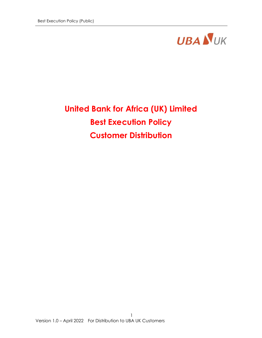

# United Bank for Africa (UK) Limited Best Execution Policy Customer Distribution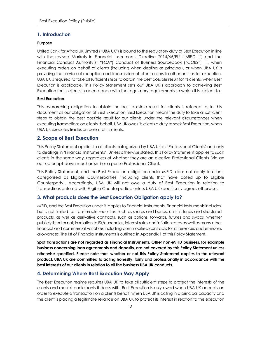#### 1. Introduction

#### Purpose

United Bank for Africa UK Limited ("UBA UK") is bound to the regulatory duty of Best Execution in line with the revised Markets in Financial Instruments Directive 2014/65/EU ("MiFID II") and the Financial Conduct Authority's ("FCA") Conduct of Business Sourcebook ("COBS") 11, when executing orders on behalf of clients (including when dealing as principal), or when UBA UK is providing the service of reception and transmission of client orders to other entities for execution. UBA UK is required to take all sufficient steps to obtain the best possible result for its clients, when Best Execution is applicable. This Policy Statement sets out UBA UK's approach to achieving Best Execution for its clients in accordance with the regulatory requirements to which it is subject to.

#### **Best Execution**

This overarching obligation to obtain the best possible result for clients is referred to, in this document as our obligation of Best Execution. Best Execution means the duty to take all sufficient steps to obtain the best possible result for our clients under the relevant circumstances when executing transactions on clients 'behalf. UBA UK owes its clients a duty to seek Best Execution, when UBA UK executes trades on behalf of its clients.

#### 2. Scope of Best Execution

This Policy Statement applies to all clients categorized by UBA UK as 'Professional Clients' and only to dealings in 'Financial Instruments'. Unless otherwise stated, this Policy Statement applies to such clients in the same way, regardless of whether they are an elective Professional Clients (via an opt-up or opt-down mechanism) or a per se Professional Client.

This Policy Statement, and the Best Execution obligation under MiFID, does not apply to clients categorised as Eligible Counterparties (including clients that have opted up to Eligible Counterparty). Accordingly, UBA UK will not owe a duty of Best Execution in relation to transactions entered with Eligible Counterparties, unless UBA UK specifically agrees otherwise.

#### 3. What products does the Best Execution Obligation apply to?

MiFID, and the Best Execution under it, applies to Financial Instruments. Financial Instruments includes, but is not limited to, transferable securities, such as shares and bonds, units in funds and structured products, as well as derivative contracts, such as options, forwards, futures and swaps, whether publicly listed or not, in relation to FX/currencies, interest rates and inflation rates as well as many other financial and commercial variables including commodities, contracts for differences and emissions allowances. The list of Financial Instruments is outlined in Appendix 1 of this Policy Statement.

Spot transactions are not regarded as Financial Instruments. Other non-MiFID business, for example business concerning loan agreements and deposits, are not covered by this Policy Statement unless otherwise specified. Please note that, whether or not this Policy Statement applies to the relevant product, UBA UK are committed to acting honestly, fairly and professionally in accordance with the best interests of our clients in relation to all the business UBA UK conducts.

## 4. Determining Where Best Execution May Apply

The Best Execution regime requires UBA UK to take all sufficient steps to protect the interests of the clients and market participants it deals with. Best Execution is only owed when UBA UK accepts an order to execute a transaction on a clients behalf, when UBA UK is acting in a principal capacity and the client is placing a legitimate reliance on UBA UK to protect its interest in relation to the execution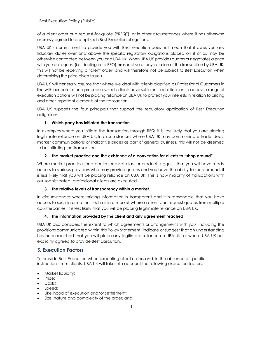of a client order or a request-for-quote ("RFQ"), or in other circumstances where it has otherwise expressly agreed to accept such Best Execution obligations.

UBA UK's commitment to provide you with Best Execution does not mean that it owes you any fiduciary duties over and above the specific regulatory obligations placed on it or as may be otherwise contracted between you and UBA UK. When UBA UK provides quotes or negotiates a price with you on request (i.e. dealing on a RFQ), irrespective of any initiation of the transaction by UBA UK, this will not be receiving a 'client order' and will therefore not be subject to Best Execution when determining the price given to you.

UBA UK will generally assume that where we deal with clients classified as Professional Customers in line with our policies and procedures, such clients have sufficient sophistication to access a range of execution options will not be placing reliance on UBA UK to protect your interests in relation to pricing and other important elements of the transaction.

UBA UK supports the four principals that support the regulatory application of Best Execution obligations:

## 1. Which party has initiated the transaction

In examples where you initiate the transaction through RFQ, it is less likely that you are placing legitimate reliance on UBA UK. In circumstances where UBA UK may communicate trade ideas, market communications or indicative prices as part of general business, this will not be deemed to be initiating the transaction.

## 2. The market practice and the existence of a convention for clients to "shop around"

Where market practice for a particular asset class or product suggests that you will have ready access to various providers who may provide quotes and you have the ability to shop around, it is less likely that you will be placing reliance on UBA UK. This is how majority of transactions with our sophisticated, professional clients are executed.

#### 3. The relative levels of transparency within a market

In circumstances where pricing information is transparent and it is reasonable that you have access to such information, such as in a market where a client can request quotes from multiple counterparties, it is less likely that you will be placing legitimate reliance on UBA UK.

#### 4. The information provided by the client and any agreement reached

UBA UK also considers the extent to which agreements or arrangements with you (including the provisions communicated within this Policy Statement) indicate or suggest that an understanding has been reached that you will place any legitimate reliance on UBA UK, or where UBA UK has explicitly agreed to provide Best Execution.

# 5. Execution Factors

To provide Best Execution when executing client orders and, in the absence of specific instructions from clients, UBA UK will take into account the following execution factors:

- Market liquidity;
- Price:
- Costs;
- Speed;
- Likelihood of execution and/or settlement:
- Size, nature and complexity of the order; and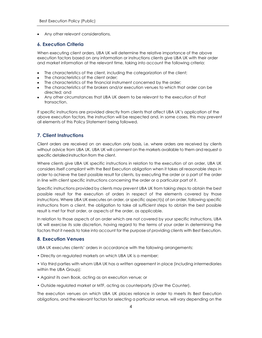Any other relevant considerations.

## 6. Execution Criteria

When executing client orders, UBA UK will determine the relative importance of the above execution factors based on any information or instructions clients give UBA UK with their order and market information at the relevant time, taking into account the following criteria:

- The characteristics of the client, including the categorization of the client;
- The characteristics of the client order;
- The characteristics of the financial instrument concerned by the order;
- The characteristics of the brokers and/or execution venues to which that order can be directed; and
- Any other circumstances that UBA UK deem to be relevant to the execution of that transaction.

If specific instructions are provided directly from clients that affect UBA UK's application of the above execution factors, the instruction will be respected and, in some cases, this may prevent all elements of this Policy Statement being followed.

# 7. Client Instructions

Client orders are received on an execution only basis, i.e. where orders are received by clients without advice from UBA UK. UBA UK will comment on the markets available to them and request a specific detailed instruction from the client.

Where clients give UBA UK specific instructions in relation to the execution of an order, UBA UK considers itself compliant with the Best Execution obligation when it takes all reasonable steps in order to achieve the best possible result for clients, by executing the order or a part of the order in line with client specific instructions concerning the order or a particular part of it.

Specific instructions provided by clients may prevent UBA UK from taking steps to obtain the best possible result for the execution of orders in respect of the elements covered by those instructions. Where UBA UK executes an order, or specific aspect(s) of an order, following specific instructions from a client, the obligation to take all sufficient steps to obtain the best possible result is met for that order, or aspects of the order, as applicable.

In relation to those aspects of an order which are not covered by your specific instructions, UBA UK will exercise its sole discretion, having regard to the terms of your order in determining the factors that it needs to take into account for the purpose of providing clients with Best Execution.

## 8. Execution Venues

UBA UK executes clients' orders in accordance with the following arrangements:

• Directly on regulated markets on which UBA UK is a member;

• Via third parties with whom UBA UK has a written agreement in place (including intermediaries within the UBA Group);

- Against its own Book, acting as an execution venue; or
- Outside regulated market or MTF, acting as counterparty (Over the Counter).

The execution venues on which UBA UK places reliance in order to meets its Best Execution obligations, and the relevant factors for selecting a particular venue, will vary depending on the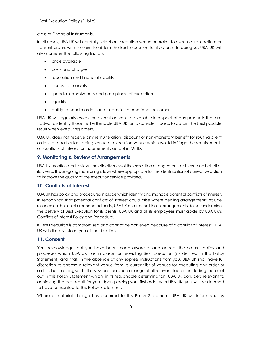class of Financial Instruments.

In all cases, UBA UK will carefully select an execution venue or broker to execute transactions or transmit orders with the aim to obtain the Best Execution for its clients. In doing so, UBA UK will also consider the following factors:

- price available
- costs and charges
- reputation and financial stability
- access to markets
- speed, responsiveness and promptness of execution
- liquidity
- ability to handle orders and trades for international customers

UBA UK will regularly assess the execution venues available in respect of any products that are traded to identify those that will enable UBA UK, on a consistent basis, to obtain the best possible result when executing orders.

UBA UK does not receive any remuneration, discount or non-monetary benefit for routing client orders to a particular trading venue or execution venue which would infringe the requirements on conflicts of interest or inducements set out in MiFID.

# 9. Monitoring & Review of Arrangements

UBA UK monitors and reviews the effectiveness of the execution arrangements achieved on behalf of its clients. This on-going monitoring allows where appropriate for the identification of corrective action to improve the quality of the execution service provided.

## 10. Conflicts of Interest

UBA UK has policy and procedures in place which identify and manage potential conflicts of interest. In recognition that potential conflicts of interest could arise where dealing arrangements include reliance on the use of a connected party, UBA UK ensures that these arrangements do not undermine the delivery of Best Execution for its clients. UBA UK and all its employees must abide by UBA UK's Conflicts of Interest Policy and Procedure.

If Best Execution is compromised and cannot be achieved because of a conflict of interest, UBA UK will directly inform you of the situation.

# 11. Consent

You acknowledge that you have been made aware of and accept the nature, policy and processes which UBA UK has in place for providing Best Execution (as defined in this Policy Statement) and that, in the absence of any express instructions from you, UBA UK shall have full discretion to choose a relevant venue from its current list of venues for executing any order or orders, but in doing so shall assess and balance a range of all relevant factors, including those set out in this Policy Statement which, in its reasonable determination, UBA UK considers relevant to achieving the best result for you. Upon placing your first order with UBA UK, you will be deemed to have consented to this Policy Statement.

Where a material change has occurred to this Policy Statement, UBA UK will inform you by